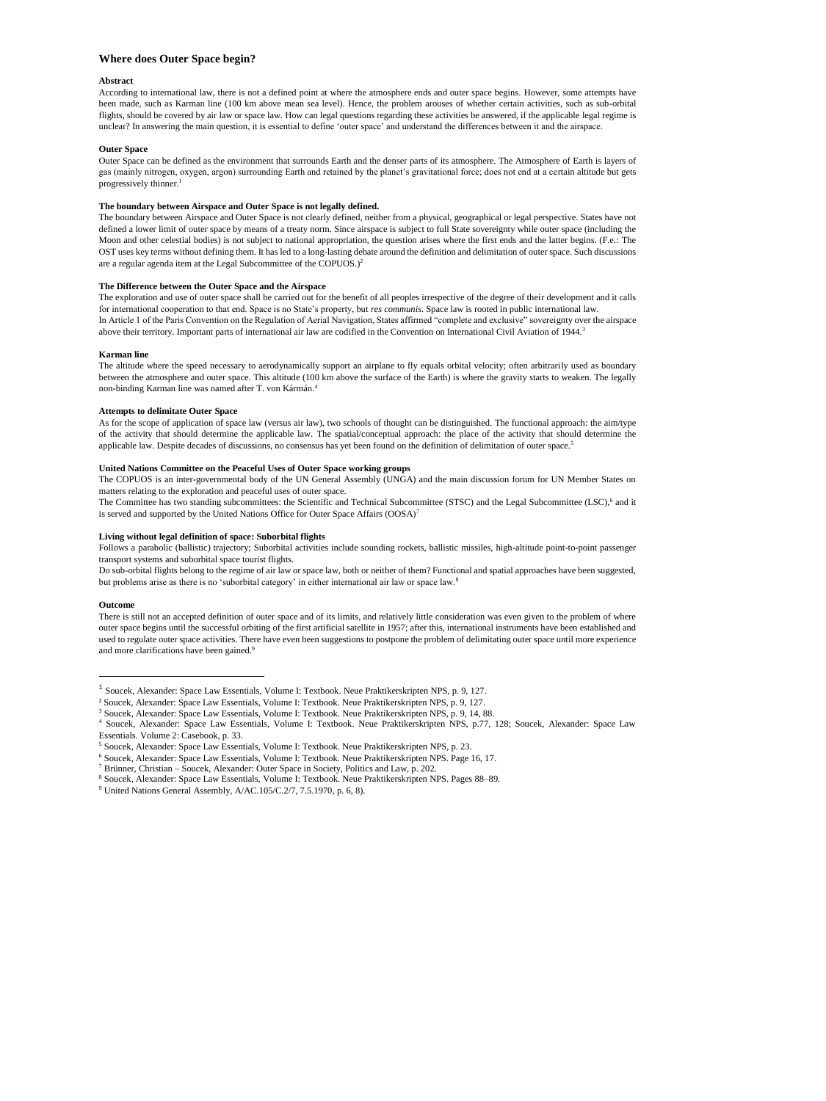## **Where does Outer Space begin?**

### **Abstract**

According to international law, there is not a defined point at where the atmosphere ends and outer space begins. However, some attempts have been made, such as Karman line (100 km above mean sea level). Hence, the problem arouses of whether certain activities, such as sub-orbital flights, should be covered by air law or space law. How can legal questions regarding these activities be answered, if the applicable legal regime is unclear? In answering the main question, it is essential to define 'outer space' and understand the differences between it and the airspace.

### **Outer Space**

Outer Space can be defined as the environment that surrounds Earth and the denser parts of its atmosphere. The Atmosphere of Earth is layers of gas (mainly nitrogen, oxygen, argon) surrounding Earth and retained by the planet's gravitational force; does not end at a certain altitude but gets progressively thinner.<sup>1</sup>

## **The boundary between Airspace and Outer Space is not legally defined.**

The boundary between Airspace and Outer Space is not clearly defined, neither from a physical, geographical or legal perspective. States have not defined a lower limit of outer space by means of a treaty norm. Since airspace is subject to full State sovereignty while outer space (including the Moon and other celestial bodies) is not subject to national appropriation, the question arises where the first ends and the latter begins. (F.e.: The OST uses key terms without defining them. It has led to a long-lasting debate around the definition and delimitation of outer space. Such discussions are a regular agenda item at the Legal Subcommittee of the COPUOS.)<sup>2</sup>

### **The Difference between the Outer Space and the Airspace**

The exploration and use of outer space shall be carried out for the benefit of all peoples irrespective of the degree of their development and it calls for international cooperation to that end. Space is no State's property, but *res communis*. Space law is rooted in public international law. In Article 1 of the Paris Convention on the Regulation of Aerial Navigation, States affirmed "complete and exclusive" sovereignty over the airspace above their territory. Important parts of international air law are codified in the Convention on International Civil Aviation of 1944.<sup>3</sup>

### **Karman line**

The altitude where the speed necessary to aerodynamically support an airplane to fly equals orbital velocity; often arbitrarily used as boundary between the atmosphere and outer space. This altitude (100 km above the surface of the Earth) is where the gravity starts to weaken. The legally non-binding Karman line was named after T. von Kármán.<sup>4</sup>

#### **Attempts to delimitate Outer Space**

As for the scope of application of space law (versus air law), two schools of thought can be distinguished. The functional approach: the aim/type of the activity that should determine the applicable law. The spatial/conceptual approach: the place of the activity that should determine the applicable law. Despite decades of discussions, no consensus has yet been found on the definition of delimitation of outer space.<sup>5</sup>

# **United Nations Committee on the Peaceful Uses of Outer Space working groups**

The COPUOS is an inter-governmental body of the UN General Assembly (UNGA) and the main discussion forum for UN Member States on matters relating to the exploration and peaceful uses of outer space.

The Committee has two standing subcommittees: the Scientific and Technical Subcommittee (STSC) and the Legal Subcommittee (LSC),<sup>6</sup> and it is served and supported by the United Nations Office for Outer Space Affairs (OOSA)<sup>7</sup>

### **Living without legal definition of space: Suborbital flights**

Follows a parabolic (ballistic) trajectory; Suborbital activities include sounding rockets, ballistic missiles, high-altitude point-to-point passenger transport systems and suborbital space tourist flights.

Do sub-orbital flights belong to the regime of air law or space law, both or neither of them? Functional and spatial approaches have been suggested, but problems arise as there is no 'suborbital category' in either international air law or space law.<sup>8</sup>

## **Outcome**

l

There is still not an accepted definition of outer space and of its limits, and relatively little consideration was even given to the problem of where outer space begins until the successful orbiting of the first artificial satellite in 1957; after this, international instruments have been established and used to regulate outer space activities. There have even been suggestions to postpone the problem of delimitating outer space until more experience and more clarifications have been gained.<sup>9</sup>

<sup>1</sup> Soucek, Alexander: Space Law Essentials, Volume I: Textbook. Neue Praktikerskripten NPS, p. 9, 127.

<sup>&</sup>lt;sup>2</sup> Soucek, Alexander: Space Law Essentials, Volume I: Textbook. Neue Praktikerskripten NPS, p. 9, 127.

<sup>3</sup> Soucek, Alexander: Space Law Essentials, Volume I: Textbook. Neue Praktikerskripten NPS, p. 9, 14, 88.

<sup>4</sup> Soucek, Alexander: Space Law Essentials, Volume I: Textbook. Neue Praktikerskripten NPS, p.77, 128; Soucek, Alexander: Space Law Essentials. Volume 2: Casebook, p. 33.

<sup>&</sup>lt;sup>5</sup> Soucek, Alexander: Space Law Essentials, Volume I: Textbook. Neue Praktikerskripten NPS, p. 23.

<sup>6</sup> Soucek, Alexander: Space Law Essentials, Volume I: Textbook. Neue Praktikerskripten NPS. Page 16, 17.

<sup>7</sup> Brünner, Christian – Soucek, Alexander: Outer Space in Society, Politics and Law, p. 202.

<sup>8</sup> Soucek, Alexander: Space Law Essentials, Volume I: Textbook. Neue Praktikerskripten NPS. Pages 88–89.

<sup>9</sup> United Nations General Assembly, A/AC.105/C.2/7, 7.5.1970, p. 6, 8).